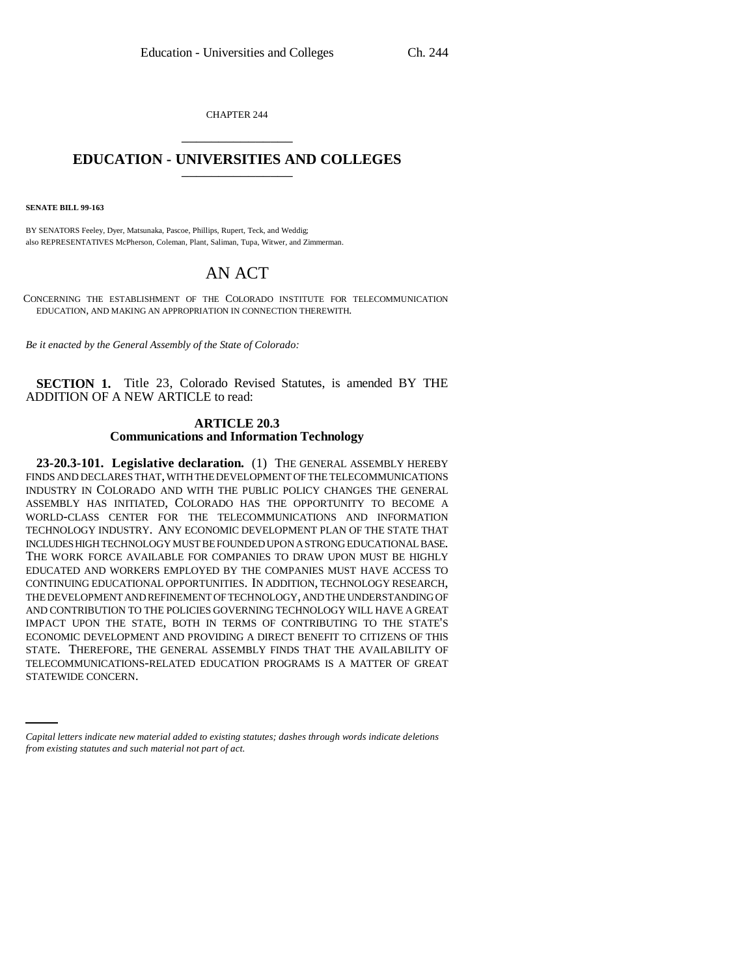CHAPTER 244 \_\_\_\_\_\_\_\_\_\_\_\_\_\_\_

## **EDUCATION - UNIVERSITIES AND COLLEGES** \_\_\_\_\_\_\_\_\_\_\_\_\_\_\_

**SENATE BILL 99-163**

BY SENATORS Feeley, Dyer, Matsunaka, Pascoe, Phillips, Rupert, Teck, and Weddig; also REPRESENTATIVES McPherson, Coleman, Plant, Saliman, Tupa, Witwer, and Zimmerman.

## AN ACT

CONCERNING THE ESTABLISHMENT OF THE COLORADO INSTITUTE FOR TELECOMMUNICATION EDUCATION, AND MAKING AN APPROPRIATION IN CONNECTION THEREWITH.

*Be it enacted by the General Assembly of the State of Colorado:*

**SECTION 1.** Title 23, Colorado Revised Statutes, is amended BY THE ADDITION OF A NEW ARTICLE to read:

## **ARTICLE 20.3 Communications and Information Technology**

TELECOMMUNICATIONS-RELATED EDUCATION PROGRAMS IS A MATTER OF GREAT **23-20.3-101. Legislative declaration.** (1) THE GENERAL ASSEMBLY HEREBY FINDS AND DECLARES THAT, WITH THE DEVELOPMENT OF THE TELECOMMUNICATIONS INDUSTRY IN COLORADO AND WITH THE PUBLIC POLICY CHANGES THE GENERAL ASSEMBLY HAS INITIATED, COLORADO HAS THE OPPORTUNITY TO BECOME A WORLD-CLASS CENTER FOR THE TELECOMMUNICATIONS AND INFORMATION TECHNOLOGY INDUSTRY. ANY ECONOMIC DEVELOPMENT PLAN OF THE STATE THAT INCLUDES HIGH TECHNOLOGY MUST BE FOUNDED UPON A STRONG EDUCATIONAL BASE. THE WORK FORCE AVAILABLE FOR COMPANIES TO DRAW UPON MUST BE HIGHLY EDUCATED AND WORKERS EMPLOYED BY THE COMPANIES MUST HAVE ACCESS TO CONTINUING EDUCATIONAL OPPORTUNITIES. IN ADDITION, TECHNOLOGY RESEARCH, THE DEVELOPMENT AND REFINEMENT OF TECHNOLOGY, AND THE UNDERSTANDING OF AND CONTRIBUTION TO THE POLICIES GOVERNING TECHNOLOGY WILL HAVE A GREAT IMPACT UPON THE STATE, BOTH IN TERMS OF CONTRIBUTING TO THE STATE'S ECONOMIC DEVELOPMENT AND PROVIDING A DIRECT BENEFIT TO CITIZENS OF THIS STATE. THEREFORE, THE GENERAL ASSEMBLY FINDS THAT THE AVAILABILITY OF STATEWIDE CONCERN.

*Capital letters indicate new material added to existing statutes; dashes through words indicate deletions from existing statutes and such material not part of act.*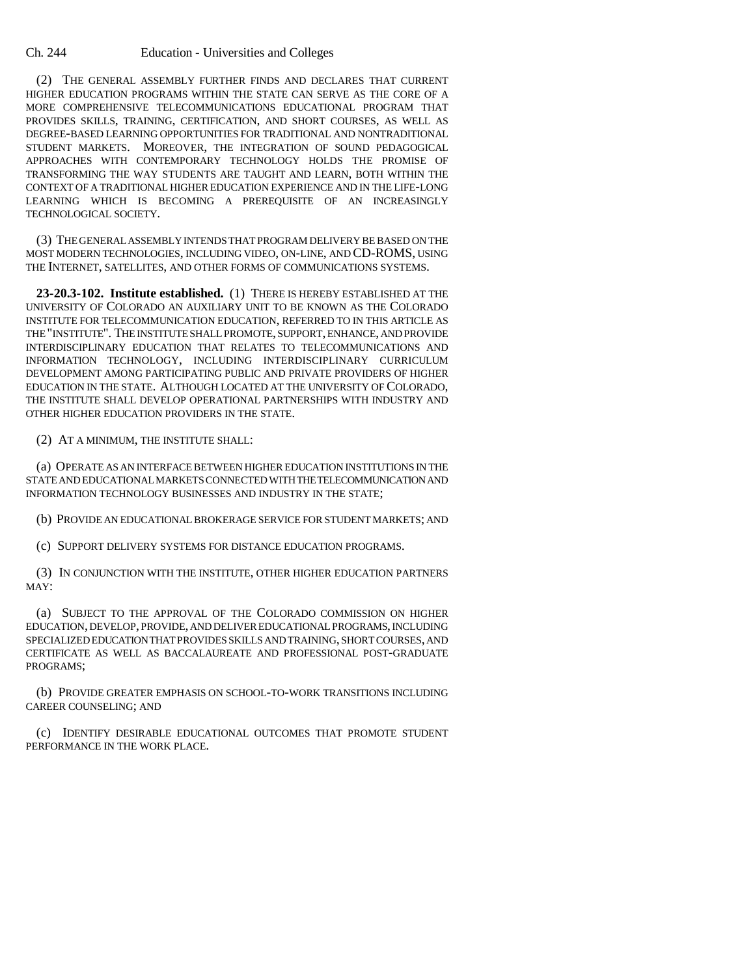(2) THE GENERAL ASSEMBLY FURTHER FINDS AND DECLARES THAT CURRENT HIGHER EDUCATION PROGRAMS WITHIN THE STATE CAN SERVE AS THE CORE OF A MORE COMPREHENSIVE TELECOMMUNICATIONS EDUCATIONAL PROGRAM THAT PROVIDES SKILLS, TRAINING, CERTIFICATION, AND SHORT COURSES, AS WELL AS DEGREE-BASED LEARNING OPPORTUNITIES FOR TRADITIONAL AND NONTRADITIONAL STUDENT MARKETS. MOREOVER, THE INTEGRATION OF SOUND PEDAGOGICAL APPROACHES WITH CONTEMPORARY TECHNOLOGY HOLDS THE PROMISE OF TRANSFORMING THE WAY STUDENTS ARE TAUGHT AND LEARN, BOTH WITHIN THE CONTEXT OF A TRADITIONAL HIGHER EDUCATION EXPERIENCE AND IN THE LIFE-LONG LEARNING WHICH IS BECOMING A PREREQUISITE OF AN INCREASINGLY TECHNOLOGICAL SOCIETY.

(3) THE GENERAL ASSEMBLY INTENDS THAT PROGRAM DELIVERY BE BASED ON THE MOST MODERN TECHNOLOGIES, INCLUDING VIDEO, ON-LINE, AND CD-ROMS, USING THE INTERNET, SATELLITES, AND OTHER FORMS OF COMMUNICATIONS SYSTEMS.

**23-20.3-102. Institute established.** (1) THERE IS HEREBY ESTABLISHED AT THE UNIVERSITY OF COLORADO AN AUXILIARY UNIT TO BE KNOWN AS THE COLORADO INSTITUTE FOR TELECOMMUNICATION EDUCATION, REFERRED TO IN THIS ARTICLE AS THE "INSTITUTE". THE INSTITUTE SHALL PROMOTE, SUPPORT, ENHANCE, AND PROVIDE INTERDISCIPLINARY EDUCATION THAT RELATES TO TELECOMMUNICATIONS AND INFORMATION TECHNOLOGY, INCLUDING INTERDISCIPLINARY CURRICULUM DEVELOPMENT AMONG PARTICIPATING PUBLIC AND PRIVATE PROVIDERS OF HIGHER EDUCATION IN THE STATE. ALTHOUGH LOCATED AT THE UNIVERSITY OF COLORADO, THE INSTITUTE SHALL DEVELOP OPERATIONAL PARTNERSHIPS WITH INDUSTRY AND OTHER HIGHER EDUCATION PROVIDERS IN THE STATE.

(2) AT A MINIMUM, THE INSTITUTE SHALL:

(a) OPERATE AS AN INTERFACE BETWEEN HIGHER EDUCATION INSTITUTIONS IN THE STATE AND EDUCATIONAL MARKETS CONNECTED WITH THE TELECOMMUNICATION AND INFORMATION TECHNOLOGY BUSINESSES AND INDUSTRY IN THE STATE;

(b) PROVIDE AN EDUCATIONAL BROKERAGE SERVICE FOR STUDENT MARKETS; AND

(c) SUPPORT DELIVERY SYSTEMS FOR DISTANCE EDUCATION PROGRAMS.

(3) IN CONJUNCTION WITH THE INSTITUTE, OTHER HIGHER EDUCATION PARTNERS MAY:

(a) SUBJECT TO THE APPROVAL OF THE COLORADO COMMISSION ON HIGHER EDUCATION, DEVELOP, PROVIDE, AND DELIVER EDUCATIONAL PROGRAMS, INCLUDING SPECIALIZED EDUCATION THAT PROVIDES SKILLS AND TRAINING, SHORT COURSES, AND CERTIFICATE AS WELL AS BACCALAUREATE AND PROFESSIONAL POST-GRADUATE PROGRAMS;

(b) PROVIDE GREATER EMPHASIS ON SCHOOL-TO-WORK TRANSITIONS INCLUDING CAREER COUNSELING; AND

(c) IDENTIFY DESIRABLE EDUCATIONAL OUTCOMES THAT PROMOTE STUDENT PERFORMANCE IN THE WORK PLACE.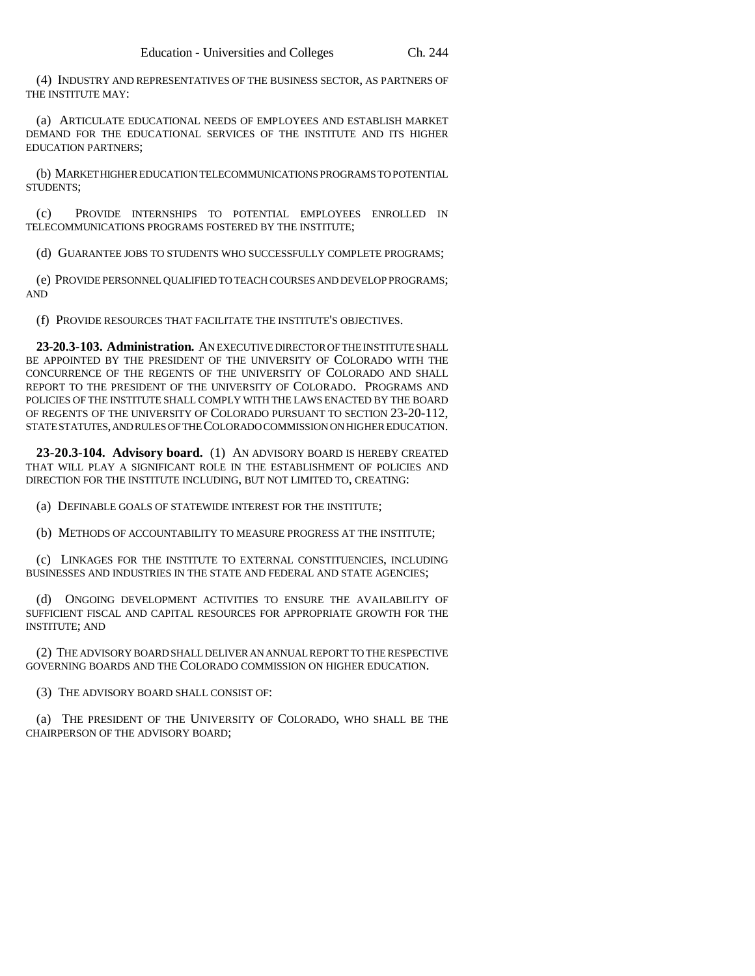(4) INDUSTRY AND REPRESENTATIVES OF THE BUSINESS SECTOR, AS PARTNERS OF THE INSTITUTE MAY:

(a) ARTICULATE EDUCATIONAL NEEDS OF EMPLOYEES AND ESTABLISH MARKET DEMAND FOR THE EDUCATIONAL SERVICES OF THE INSTITUTE AND ITS HIGHER EDUCATION PARTNERS;

(b) MARKET HIGHER EDUCATION TELECOMMUNICATIONS PROGRAMS TO POTENTIAL STUDENTS;

(c) PROVIDE INTERNSHIPS TO POTENTIAL EMPLOYEES ENROLLED IN TELECOMMUNICATIONS PROGRAMS FOSTERED BY THE INSTITUTE;

(d) GUARANTEE JOBS TO STUDENTS WHO SUCCESSFULLY COMPLETE PROGRAMS;

(e) PROVIDE PERSONNEL QUALIFIED TO TEACH COURSES AND DEVELOP PROGRAMS; AND

(f) PROVIDE RESOURCES THAT FACILITATE THE INSTITUTE'S OBJECTIVES.

**23-20.3-103. Administration.** AN EXECUTIVE DIRECTOR OF THE INSTITUTE SHALL BE APPOINTED BY THE PRESIDENT OF THE UNIVERSITY OF COLORADO WITH THE CONCURRENCE OF THE REGENTS OF THE UNIVERSITY OF COLORADO AND SHALL REPORT TO THE PRESIDENT OF THE UNIVERSITY OF COLORADO. PROGRAMS AND POLICIES OF THE INSTITUTE SHALL COMPLY WITH THE LAWS ENACTED BY THE BOARD OF REGENTS OF THE UNIVERSITY OF COLORADO PURSUANT TO SECTION 23-20-112, STATE STATUTES, AND RULES OF THE COLORADO COMMISSION ON HIGHER EDUCATION.

**23-20.3-104. Advisory board.** (1) AN ADVISORY BOARD IS HEREBY CREATED THAT WILL PLAY A SIGNIFICANT ROLE IN THE ESTABLISHMENT OF POLICIES AND DIRECTION FOR THE INSTITUTE INCLUDING, BUT NOT LIMITED TO, CREATING:

(a) DEFINABLE GOALS OF STATEWIDE INTEREST FOR THE INSTITUTE;

(b) METHODS OF ACCOUNTABILITY TO MEASURE PROGRESS AT THE INSTITUTE;

(c) LINKAGES FOR THE INSTITUTE TO EXTERNAL CONSTITUENCIES, INCLUDING BUSINESSES AND INDUSTRIES IN THE STATE AND FEDERAL AND STATE AGENCIES;

(d) ONGOING DEVELOPMENT ACTIVITIES TO ENSURE THE AVAILABILITY OF SUFFICIENT FISCAL AND CAPITAL RESOURCES FOR APPROPRIATE GROWTH FOR THE INSTITUTE; AND

(2) THE ADVISORY BOARD SHALL DELIVER AN ANNUAL REPORT TO THE RESPECTIVE GOVERNING BOARDS AND THE COLORADO COMMISSION ON HIGHER EDUCATION.

(3) THE ADVISORY BOARD SHALL CONSIST OF:

(a) THE PRESIDENT OF THE UNIVERSITY OF COLORADO, WHO SHALL BE THE CHAIRPERSON OF THE ADVISORY BOARD;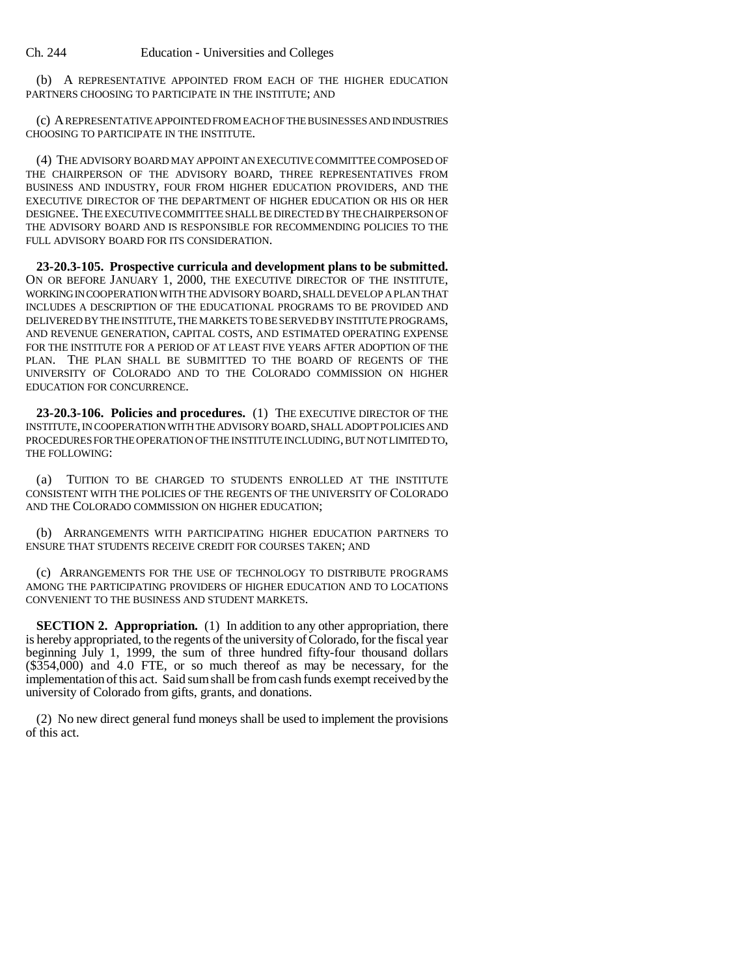(b) A REPRESENTATIVE APPOINTED FROM EACH OF THE HIGHER EDUCATION PARTNERS CHOOSING TO PARTICIPATE IN THE INSTITUTE; AND

(c) A REPRESENTATIVE APPOINTED FROM EACH OF THE BUSINESSES AND INDUSTRIES CHOOSING TO PARTICIPATE IN THE INSTITUTE.

(4) THE ADVISORY BOARD MAY APPOINT AN EXECUTIVE COMMITTEE COMPOSED OF THE CHAIRPERSON OF THE ADVISORY BOARD, THREE REPRESENTATIVES FROM BUSINESS AND INDUSTRY, FOUR FROM HIGHER EDUCATION PROVIDERS, AND THE EXECUTIVE DIRECTOR OF THE DEPARTMENT OF HIGHER EDUCATION OR HIS OR HER DESIGNEE. THE EXECUTIVE COMMITTEE SHALL BE DIRECTED BY THE CHAIRPERSON OF THE ADVISORY BOARD AND IS RESPONSIBLE FOR RECOMMENDING POLICIES TO THE FULL ADVISORY BOARD FOR ITS CONSIDERATION.

**23-20.3-105. Prospective curricula and development plans to be submitted.** ON OR BEFORE JANUARY 1, 2000, THE EXECUTIVE DIRECTOR OF THE INSTITUTE, WORKING IN COOPERATION WITH THE ADVISORY BOARD, SHALL DEVELOP A PLAN THAT INCLUDES A DESCRIPTION OF THE EDUCATIONAL PROGRAMS TO BE PROVIDED AND DELIVERED BY THE INSTITUTE, THE MARKETS TO BE SERVED BY INSTITUTE PROGRAMS, AND REVENUE GENERATION, CAPITAL COSTS, AND ESTIMATED OPERATING EXPENSE FOR THE INSTITUTE FOR A PERIOD OF AT LEAST FIVE YEARS AFTER ADOPTION OF THE PLAN. THE PLAN SHALL BE SUBMITTED TO THE BOARD OF REGENTS OF THE UNIVERSITY OF COLORADO AND TO THE COLORADO COMMISSION ON HIGHER EDUCATION FOR CONCURRENCE.

**23-20.3-106. Policies and procedures.** (1) THE EXECUTIVE DIRECTOR OF THE INSTITUTE, IN COOPERATION WITH THE ADVISORY BOARD, SHALL ADOPT POLICIES AND PROCEDURES FOR THE OPERATION OF THE INSTITUTE INCLUDING, BUT NOT LIMITED TO, THE FOLLOWING:

(a) TUITION TO BE CHARGED TO STUDENTS ENROLLED AT THE INSTITUTE CONSISTENT WITH THE POLICIES OF THE REGENTS OF THE UNIVERSITY OF COLORADO AND THE COLORADO COMMISSION ON HIGHER EDUCATION;

(b) ARRANGEMENTS WITH PARTICIPATING HIGHER EDUCATION PARTNERS TO ENSURE THAT STUDENTS RECEIVE CREDIT FOR COURSES TAKEN; AND

(c) ARRANGEMENTS FOR THE USE OF TECHNOLOGY TO DISTRIBUTE PROGRAMS AMONG THE PARTICIPATING PROVIDERS OF HIGHER EDUCATION AND TO LOCATIONS CONVENIENT TO THE BUSINESS AND STUDENT MARKETS.

**SECTION 2. Appropriation.** (1) In addition to any other appropriation, there is hereby appropriated, to the regents of the university of Colorado, for the fiscal year beginning July 1, 1999, the sum of three hundred fifty-four thousand dollars (\$354,000) and 4.0 FTE, or so much thereof as may be necessary, for the implementation of this act. Said sum shall be from cash funds exempt received by the university of Colorado from gifts, grants, and donations.

(2) No new direct general fund moneys shall be used to implement the provisions of this act.